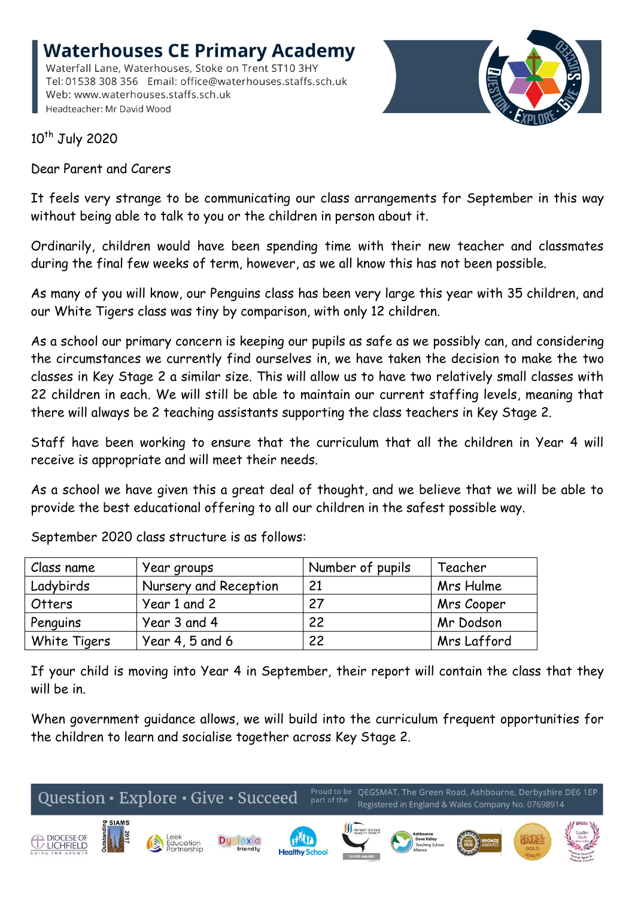**Waterhouses CE Primary Academy** Waterfall Lane, Waterhouses, Stoke on Trent ST10 3HY Tel: 01538 308 356 Email: office@waterhouses.staffs.sch.uk Web: www.waterhouses.staffs.sch.uk Headteacher: Mr David Wood



10<sup>th</sup> July 2020

Dear Parent and Carers

It feels very strange to be communicating our class arrangements for September in this way without being able to talk to you or the children in person about it.

Ordinarily, children would have been spending time with their new teacher and classmates during the final few weeks of term, however, as we all know this has not been possible.

As many of you will know, our Penguins class has been very large this year with 35 children, and our White Tigers class was tiny by comparison, with only 12 children.

As a school our primary concern is keeping our pupils as safe as we possibly can, and considering the circumstances we currently find ourselves in, we have taken the decision to make the two classes in Key Stage 2 a similar size. This will allow us to have two relatively small classes with 22 children in each. We will still be able to maintain our current staffing levels, meaning that there will always be 2 teaching assistants supporting the class teachers in Key Stage 2.

Staff have been working to ensure that the curriculum that all the children in Year 4 will receive is appropriate and will meet their needs.

As a school we have given this a great deal of thought, and we believe that we will be able to provide the best educational offering to all our children in the safest possible way.

| Class name   | Year groups           | Number of pupils | Teacher     |
|--------------|-----------------------|------------------|-------------|
| Ladybirds    | Nursery and Reception | 21               | Mrs Hulme   |
| Otters       | Year 1 and 2          | 27               | Mrs Cooper  |
| Penguins     | Year 3 and 4          | 22               | Mr Dodson   |
| White Tigers | Year $4, 5$ and $6$   | 22               | Mrs Lafford |

September 2020 class structure is as follows:

If your child is moving into Year 4 in September, their report will contain the class that they will be in.

When government guidance allows, we will build into the curriculum frequent opportunities for the children to learn and socialise together across Key Stage 2.